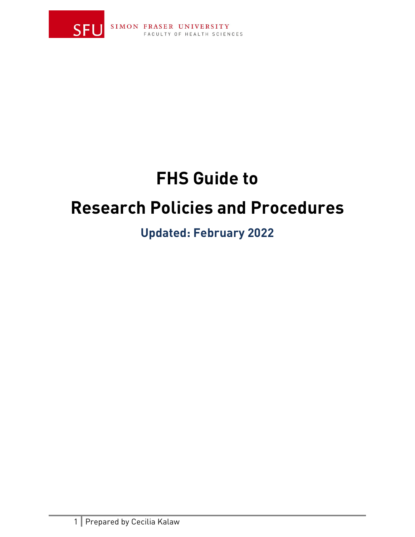

# **FHS Guide to**

# **Research Policies and Procedures**

### **Updated: February 2022**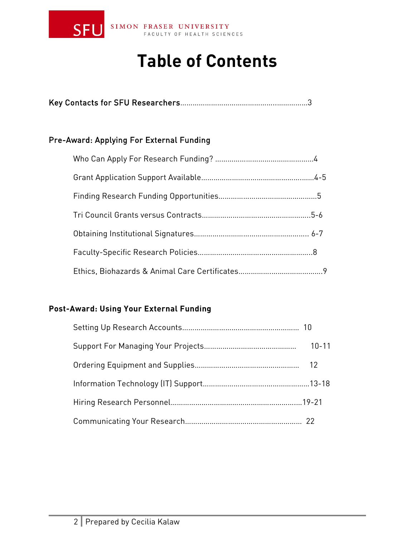

# **Table of Contents**

|--|--|

### Pre-Award: Applying For External Funding

### **Post-Award: Using Your External Funding**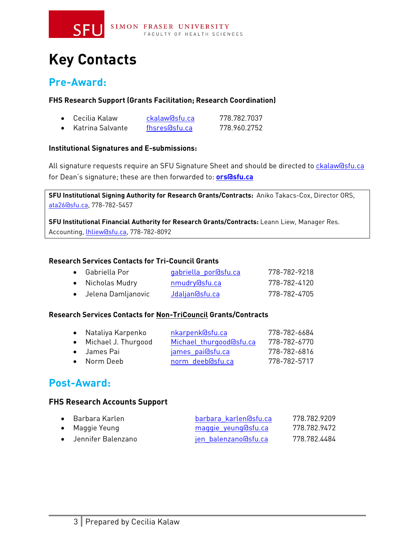# **Key Contacts**

**SFI** 

### **Pre-Award:**

#### **FHS Research Support (Grants Facilitation; Research Coordination)**

| - Cecilia Kalaw  | ckalaw@sfu.ca | 778.782.7037 |
|------------------|---------------|--------------|
| Katrina Salvante | fhsres0sfu.ca | 778.960.2752 |

#### **Institutional Signatures and E-submissions:**

All signature requests require an SFU Signature Sheet and should be directed to [ckalaw@sfu.ca](mailto:ckalaw@sfu.ca) for Dean's signature; these are then forwarded to: **[ors@sfu.ca](mailto:ors@sfu.ca)**

**SFU Institutional Signing Authority for Research Grants/Contracts:** Aniko Takacs-Cox, Director ORS, [ata26@sfu.ca,](mailto:ata26@sfu.ca) 778-782-5457

**SFU Institutional Financial Authority for Research Grants/Contracts:** Leann Liew, Manager Res. Accounting[, lhliew@sfu.ca,](mailto:lhliew@sfu.ca) 778-782-8092

#### **Research Services Contacts for Tri-Council Grants**

| $\bullet$ Gabriella Por | gabriella por dsfu.ca | 778-782-9218 |
|-------------------------|-----------------------|--------------|
| • Nicholas Mudry        | nmudry@sfu.ca         | 778-782-4120 |
| Jelena Damljanovic      | Jdaljan@sfu.ca        | 778-782-4705 |

#### **Research Services Contacts for Non-TriCouncil Grants/Contracts**

| • Nataliya Karpenko   | nkarpenk@sfu.ca         | 778-782-6684 |
|-----------------------|-------------------------|--------------|
| • Michael J. Thurgood | Michael thurgood@sfu.ca | 778-782-6770 |
| • James Pai           | james pailasfu.ca       | 778-782-6816 |
| • Norm Deeb           | norm deeb@sfu.ca        | 778-782-5717 |

### **Post-Award:**

#### **FHS Research Accounts Support**

|           | $\bullet$ Barbara Karlen | barbara karlen@sfu.ca | 778.782.9209 |
|-----------|--------------------------|-----------------------|--------------|
| $\bullet$ | Maggie Yeung             | maggie yeung@sfu.ca   | 778.782.9472 |
|           | • Jennifer Balenzano     | jen balenzano@sfu.ca  | 778.782.4484 |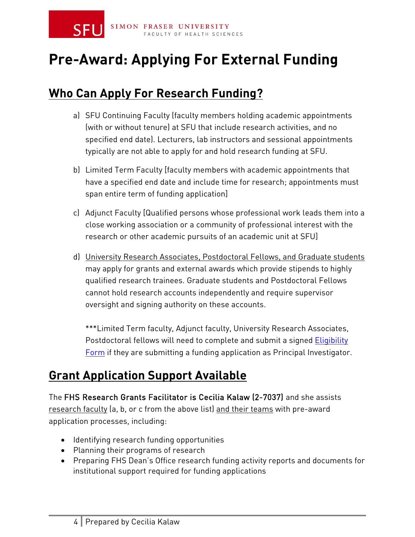# **Pre-Award: Applying For External Funding**

### **Who Can Apply For Research Funding?**

- a) SFU Continuing Faculty (faculty members holding academic appointments (with or without tenure) at SFU that include research activities, and no specified end date). Lecturers, lab instructors and sessional appointments typically are not able to apply for and hold research funding at SFU.
- b) Limited Term Faculty [faculty members with academic appointments that have a specified end date and include time for research; appointments must span entire term of funding application]
- c) Adjunct Faculty [Qualified persons whose professional work leads them into a close working association or a community of professional interest with the research or other academic pursuits of an academic unit at SFU]
- d) University Research Associates, Postdoctoral Fellows, and Graduate students may apply for grants and external awards which provide stipends to highly qualified research trainees. Graduate students and Postdoctoral Fellows cannot hold research accounts independently and require supervisor oversight and signing authority on these accounts.

\*\*\*Limited Term faculty, Adjunct faculty, University Research Associates, Postdoctoral fellows will need to complete and submit a signed [Eligibility](https://www.sfu.ca/research/sites/default/files/2021-06/Non%20Faculty%20Members%20Adjunct%20Prof%20Form-Revised%20in%202021_0.pdf)  [Form](https://www.sfu.ca/research/sites/default/files/2021-06/Non%20Faculty%20Members%20Adjunct%20Prof%20Form-Revised%20in%202021_0.pdf) if they are submitting a funding application as Principal Investigator.

### **Grant Application Support Available**

The FHS Research Grants Facilitator is Cecilia Kalaw (2-7037) and she assists research faculty (a, b, or c from the above list) and their teams with pre-award application processes, including:

- Identifying research funding opportunities
- Planning their programs of research
- Preparing FHS Dean's Office research funding activity reports and documents for institutional support required for funding applications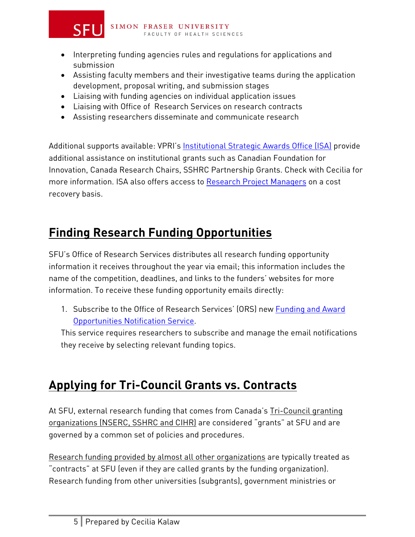

- Interpreting funding agencies rules and regulations for applications and submission
- Assisting faculty members and their investigative teams during the application development, proposal writing, and submission stages
- Liaising with funding agencies on individual application issues
- Liaising with Office of Research Services on research contracts
- Assisting researchers disseminate and communicate research

Additional supports available: VPRI's [Institutional Strategic Awards Office \(ISA\)](https://www.sfu.ca/research/resources/institutional-awards) provide additional assistance on institutional grants such as Canadian Foundation for Innovation, Canada Research Chairs, SSHRC Partnership Grants. Check with Cecilia for more information. ISA also offers access to [Research Project Managers](https://www.sfu.ca/research/researcher-resources/award-management/research-project-managers) on a cost recovery basis.

## **Finding Research Funding Opportunities**

SFU's Office of Research Services distributes all research funding opportunity information it receives throughout the year via email; this information includes the name of the competition, deadlines, and links to the funders' websites for more information. To receive these funding opportunity emails directly:

1. Subscribe to the Office of Research Services' (ORS) new [Funding and Award](https://ops.its.sfu.ca/Home/Opportunities)  [Opportunities Notification Service.](https://ops.its.sfu.ca/Home/Opportunities)

This service requires researchers to subscribe and manage the email notifications they receive by selecting relevant funding topics.

### **Applying for Tri-Council Grants vs. Contracts**

At SFU, external research funding that comes from Canada's Tri-Council granting organizations (NSERC, SSHRC and CIHR) are considered "grants" at SFU and are governed by a common set of policies and procedures.

Research funding provided by almost all other organizations are typically treated as "contracts" at SFU (even if they are called grants by the funding organization). Research funding from other universities (subgrants), government ministries or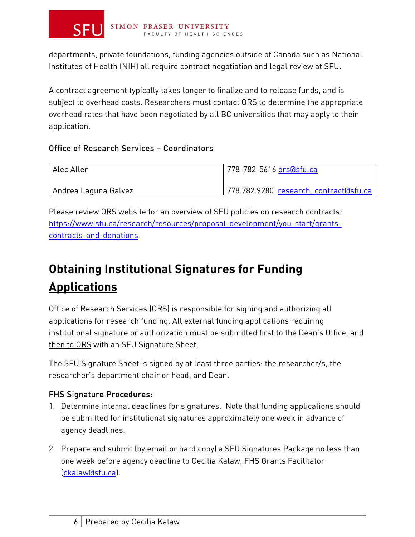

departments, private foundations, funding agencies outside of Canada such as National Institutes of Health (NIH) all require contract negotiation and legal review at SFU.

A contract agreement typically takes longer to finalize and to release funds, and is subject to overhead costs. Researchers must contact ORS to determine the appropriate overhead rates that have been negotiated by all BC universities that may apply to their application.

### Office of Research Services – Coordinators

| Alec Allen           | 778-782-5616 ors@sfu.ca               |  |
|----------------------|---------------------------------------|--|
| Andrea Laguna Galvez | 778.782.9280 research contract@sfu.ca |  |

Please review ORS website for an overview of SFU policies on research contracts: [https://www.sfu.ca/research/resources/proposal-development/you-start/grants](https://www.sfu.ca/research/resources/proposal-development/you-start/grants-contracts-and-donations)[contracts-and-donations](https://www.sfu.ca/research/resources/proposal-development/you-start/grants-contracts-and-donations)

# **Obtaining Institutional Signatures for Funding Applications**

Office of Research Services (ORS) is responsible for signing and authorizing all applications for research funding. All external funding applications requiring institutional signature or authorization must be submitted first to the Dean's Office, and then to ORS with an SFU Signature Sheet.

The SFU Signature Sheet is signed by at least three parties: the researcher/s, the researcher's department chair or head, and Dean.

- FHS Signature Procedures:<br>1. Determine internal deadlines for signatures. Note that funding applications should be submitted for institutional signatures approximately one week in advance of agency deadlines.
- 2. Prepare and submit (by email or hard copy) a SFU Signatures Package no less than one week before agency deadline to Cecilia Kalaw, FHS Grants Facilitator [\(ckalaw@sfu.ca\)](mailto:ckalaw@sfu.ca).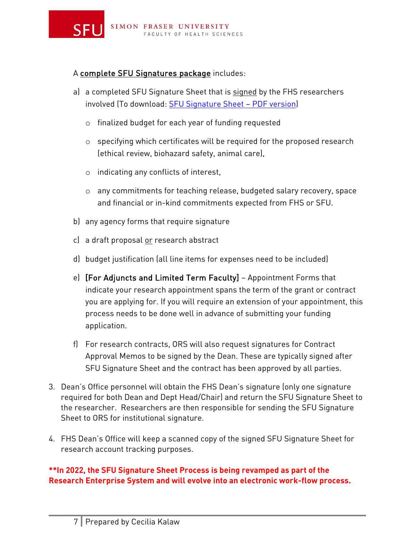#### A complete SFU Signatures package includes:

- a) a completed SFU Signature Sheet that is signed by the FHS researchers involved (To download: [SFU Signature Sheet –](https://www.sfu.ca/research/sites/default/files/2021-11/Research%20Funding%20Application%20Signature%20Sheet%20-%20PDF.pdf) PDF version)
	- o finalized budget for each year of funding requested
	- o specifying which certificates will be required for the proposed research (ethical review, biohazard safety, animal care),
	- o indicating any conflicts of interest,
	- o any commitments for teaching release, budgeted salary recovery, space and financial or in-kind commitments expected from FHS or SFU.
- b) any agency forms that require signature
- c) a draft proposal or research abstract
- d) budget justification (all line items for expenses need to be included)
- e) [For Adjuncts and Limited Term Faculty] Appointment Forms that indicate your research appointment spans the term of the grant or contract you are applying for. If you will require an extension of your appointment, this process needs to be done well in advance of submitting your funding application.
- f) For research contracts, ORS will also request signatures for Contract Approval Memos to be signed by the Dean. These are typically signed after SFU Signature Sheet and the contract has been approved by all parties.
- 3. Dean's Office personnel will obtain the FHS Dean's signature (only one signature required for both Dean and Dept Head/Chair) and return the SFU Signature Sheet to the researcher. Researchers are then responsible for sending the SFU Signature Sheet to ORS for institutional signature.
- 4. FHS Dean's Office will keep a scanned copy of the signed SFU Signature Sheet for research account tracking purposes.

### **\*\*In 2022, the SFU Signature Sheet Process is being revamped as part of the Research Enterprise System and will evolve into an electronic work-flow process.**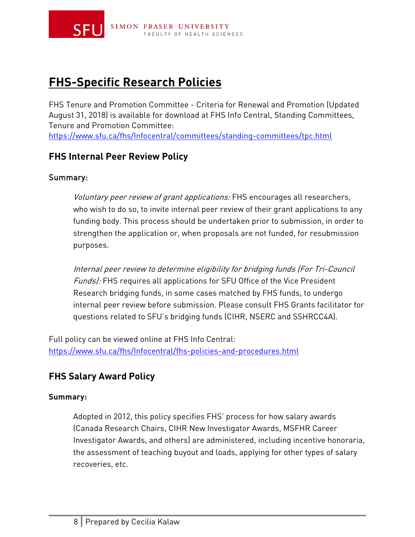

### **FHS-Specific Research Policies**

FHS Tenure and Promotion Committee - Criteria for Renewal and Promotion (Updated August 31, 2018) is available for download at FHS Info Central, Standing Committees, Tenure and Promotion Committee: <https://www.sfu.ca/fhs/Infocentral/committees/standing-committees/tpc.html>

### **FHS Internal Peer Review Policy**

#### Summary:

Voluntary peer review of grant applications: FHS encourages all researchers, who wish to do so, to invite internal peer review of their grant applications to any funding body. This process should be undertaken prior to submission, in order to strengthen the application or, when proposals are not funded, for resubmission purposes.

Internal peer review to determine eligibility for bridging funds (For Tri-Council Funds): FHS requires all applications for SFU Office of the Vice President Research bridging funds, in some cases matched by FHS funds, to undergo internal peer review before submission. Please consult FHS Grants facilitator for questions related to SFU's bridging funds (CIHR, NSERC and SSHRCC4A).

Full policy can be viewed online at FHS Info Central: <https://www.sfu.ca/fhs/Infocentral/fhs-policies-and-procedures.html>

### **FHS Salary Award Policy**

#### **Summary:**

Adopted in 2012, this policy specifies FHS' process for how salary awards (Canada Research Chairs, CIHR New Investigator Awards, MSFHR Career Investigator Awards, and others) are administered, including incentive honoraria, the assessment of teaching buyout and loads, applying for other types of salary recoveries, etc.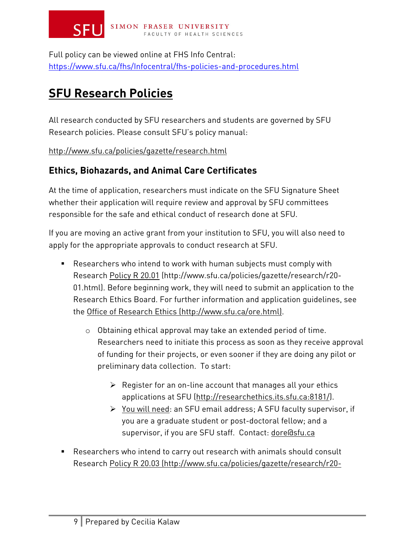Full policy can be viewed online at FHS Info Central: <https://www.sfu.ca/fhs/Infocentral/fhs-policies-and-procedures.html>

### **SFU Research Policies**

All research conducted by SFU researchers and students are governed by SFU Research policies. Please consult SFU's policy manual:

<http://www.sfu.ca/policies/gazette/research.html>

### **Ethics, Biohazards, and Animal Care Certificates**

At the time of application, researchers must indicate on the SFU Signature Sheet whether their application will require review and approval by SFU committees responsible for the safe and ethical conduct of research done at SFU.

If you are moving an active grant from your institution to SFU, you will also need to apply for the appropriate approvals to conduct research at SFU.

- Researchers who intend to work with human subjects must comply with Research [Policy R 20.01](http://www.sfu.ca/policies/research/r20-01.htm) (http://www.sfu.ca/policies/gazette/research/r20- 01.html). Before beginning work, they will need to submit an application to the Research Ethics Board. For further information and application guidelines, see the [Office of Research Ethics](http://www.sfu.ca/vp-research/ethics/index.html) (http://www.sfu.ca/ore.html).
	- o Obtaining ethical approval may take an extended period of time. Researchers need to initiate this process as soon as they receive approval of funding for their projects, or even sooner if they are doing any pilot or preliminary data collection. To start:
		- $\triangleright$  Register for an on-line account that manages all your ethics applications at SFU [\(http://researchethics.its.sfu.ca:8181/\)](http://researchethics.its.sfu.ca:8181/).
		- You will need: an SFU email address; A SFU faculty supervisor, if you are a graduate student or post-doctoral fellow; and a supervisor, if you are SFU staff. Contact: [dore@sfu.ca](mailto:dore@sfu.ca)
- Researchers who intend to carry out research with animals should consult Research [Policy R 20.03](http://www.sfu.ca/policies/research/r20-03.htm) (http://www.sfu.ca/policies/gazette/research/r20-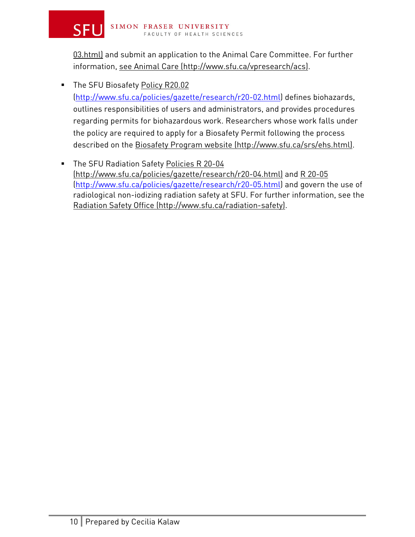

03.html) and submit an application to the Animal Care Committee. For further information, [see Animal Care](http://www.sfu.ca/acf/) (http://www.sfu.ca/vpresearch/acs).

- The SFU Biosafety [Policy R20.02](http://www.sfu.ca/policies/research/r20-02.htm) [\(http://www.sfu.ca/policies/gazette/research/r20-02.html\)](http://www.sfu.ca/policies/gazette/research/r20-02.html) defines biohazards, outlines responsibilities of users and administrators, and provides procedures regarding permits for biohazardous work. Researchers whose work falls under the policy are required to apply for a Biosafety Permit following the process described on the [Biosafety Program website](http://www.sfu.ca/srs/ehs.html) (http://www.sfu.ca/srs/ehs.html).
- **The SFU Radiation Safety [Policies R 20-04](http://www.sfu.ca/policies/research/r20-04.htm)** (http://www.sfu.ca/policies/gazette/research/r20-04.html) and [R 20-05](http://www.sfu.ca/policies/research/r20-05.htm) [\(http://www.sfu.ca/policies/gazette/research/r20-05.html\)](http://www.sfu.ca/policies/gazette/research/r20-05.html) and govern the use of radiological non-iodizing radiation safety at SFU. For further information, see the [Radiation Safety Office](http://www.sfu.ca/radiation-safety/) (http://www.sfu.ca/radiation-safety).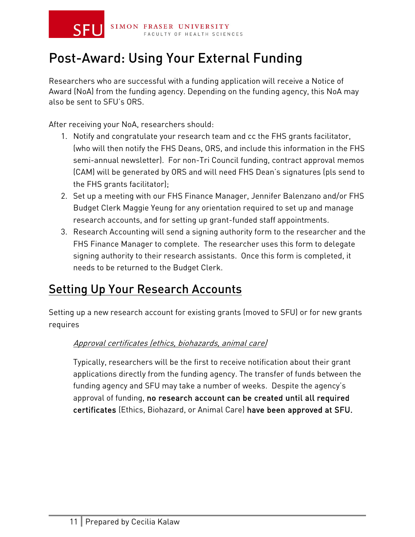

SIMON FRASER UNIVERSITY FACULTY OF HEALTH SCIENCES

# Post-Award: Using Your External Funding

Researchers who are successful with a funding application will receive a Notice of Award (NoA) from the funding agency. Depending on the funding agency, this NoA may also be sent to SFU's ORS.

After receiving your NoA, researchers should:

- 1. Notify and congratulate your research team and cc the FHS grants facilitator, (who will then notify the FHS Deans, ORS, and include this information in the FHS semi-annual newsletter). For non-Tri Council funding, contract approval memos (CAM) will be generated by ORS and will need FHS Dean's signatures (pls send to the FHS grants facilitator);
- 2. Set up a meeting with our FHS Finance Manager, Jennifer Balenzano and/or FHS Budget Clerk Maggie Yeung for any orientation required to set up and manage research accounts, and for setting up grant-funded staff appointments.
- 3. Research Accounting will send a signing authority form to the researcher and the FHS Finance Manager to complete. The researcher uses this form to delegate signing authority to their research assistants. Once this form is completed, it needs to be returned to the Budget Clerk.

### Setting Up Your Research Accounts

Setting up a new research account for existing grants (moved to SFU) or for new grants requires

### Approval certificates (ethics, biohazards, animal care)

Typically, researchers will be the first to receive notification about their grant applications directly from the funding agency. The transfer of funds between the funding agency and SFU may take a number of weeks. Despite the agency's approval of funding, no research account can be created until all required certificates (Ethics, Biohazard, or Animal Care) have been approved at SFU.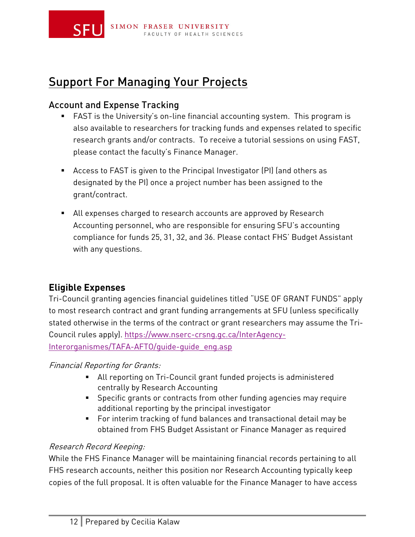### Support For Managing Your Projects

### Account and Expense Tracking

- FAST is the University's on-line financial accounting system. This program is also available to researchers for tracking funds and expenses related to specific research grants and/or contracts. To receive a tutorial sessions on using FAST, please contact the faculty's Finance Manager.
- Access to FAST is given to the Principal Investigator (PI) (and others as designated by the PI) once a project number has been assigned to the grant/contract.
- All expenses charged to research accounts are approved by Research Accounting personnel, who are responsible for ensuring SFU's accounting compliance for funds 25, 31, 32, and 36. Please contact FHS' Budget Assistant with any questions.

### **Eligible Expenses**

Tri-Council granting agencies financial guidelines titled "USE OF GRANT FUNDS" apply to most research contract and grant funding arrangements at SFU (unless specifically stated otherwise in the terms of the contract or grant researchers may assume the Tri-Council rules apply). [https://www.nserc-crsng.gc.ca/InterAgency-](https://www.nserc-crsng.gc.ca/InterAgency-Interorganismes/TAFA-AFTO/guide-guide_eng.asp)[Interorganismes/TAFA-AFTO/guide-guide\\_eng.asp](https://www.nserc-crsng.gc.ca/InterAgency-Interorganismes/TAFA-AFTO/guide-guide_eng.asp)

### Financial Reporting for Grants:

- All reporting on Tri-Council grant funded projects is administered centrally by Research Accounting
- Specific grants or contracts from other funding agencies may require additional reporting by the principal investigator
- For interim tracking of fund balances and transactional detail may be obtained from FHS Budget Assistant or Finance Manager as required

### Research Record Keeping:

While the FHS Finance Manager will be maintaining financial records pertaining to all FHS research accounts, neither this position nor Research Accounting typically keep copies of the full proposal. It is often valuable for the Finance Manager to have access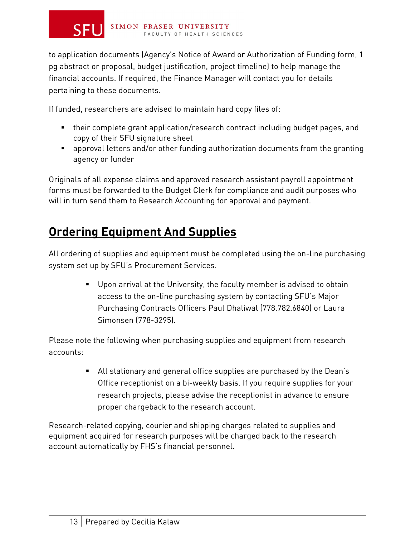

to application documents (Agency's Notice of Award or Authorization of Funding form, 1 pg abstract or proposal, budget justification, project timeline) to help manage the financial accounts. If required, the Finance Manager will contact you for details pertaining to these documents.

If funded, researchers are advised to maintain hard copy files of:

- their complete grant application/research contract including budget pages, and copy of their SFU signature sheet
- approval letters and/or other funding authorization documents from the granting agency or funder

Originals of all expense claims and approved research assistant payroll appointment forms must be forwarded to the Budget Clerk for compliance and audit purposes who will in turn send them to Research Accounting for approval and payment.

### **Ordering Equipment And Supplies**

All ordering of supplies and equipment must be completed using the on-line purchasing system set up by SFU's Procurement Services.

> Upon arrival at the University, the faculty member is advised to obtain access to the on-line purchasing system by contacting SFU's Major Purchasing Contracts Officers Paul Dhaliwal (778.782.6840) or Laura Simonsen (778-3295).

Please note the following when purchasing supplies and equipment from research accounts:

> All stationary and general office supplies are purchased by the Dean's Office receptionist on a bi-weekly basis. If you require supplies for your research projects, please advise the receptionist in advance to ensure proper chargeback to the research account.

Research-related copying, courier and shipping charges related to supplies and equipment acquired for research purposes will be charged back to the research account automatically by FHS's financial personnel.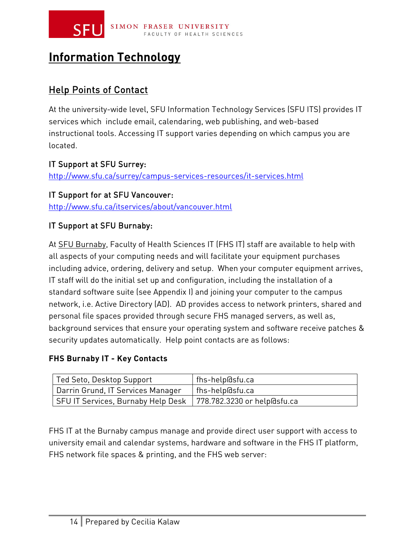### **Information Technology**

### Help Points of Contact

At the university-wide level, SFU Information Technology Services (SFU ITS) provides IT services which include email, calendaring, web publishing, and web-based instructional tools. Accessing IT support varies depending on which campus you are located.

### IT Support at SFU Surrey:

<http://www.sfu.ca/surrey/campus-services-resources/it-services.html>

IT Support for at SFU Vancouver: <http://www.sfu.ca/itservices/about/vancouver.html>

### IT Support at SFU Burnaby:

At SFU Burnaby, Faculty of Health Sciences IT (FHS IT) staff are available to help with all aspects of your computing needs and will facilitate your equipment purchases including advice, ordering, delivery and setup. When your computer equipment arrives, IT staff will do the initial set up and configuration, including the installation of a standard software suite (see Appendix I) and joining your computer to the campus network, i.e. Active Directory (AD). AD provides access to network printers, shared and personal file spaces provided through secure FHS managed servers, as well as, background services that ensure your operating system and software receive patches & security updates automatically. Help point contacts are as follows:

#### **FHS Burnaby IT - Key Contacts**

| Ted Seto, Desktop Support          | fhs-help@sfu.ca             |
|------------------------------------|-----------------------------|
| Darrin Grund, IT Services Manager  | fhs-help@sfu.ca             |
| SFU IT Services, Burnaby Help Desk | 778.782.3230 or help@sfu.ca |

FHS IT at the Burnaby campus manage and provide direct user support with access to university email and calendar systems, hardware and software in the FHS IT platform, FHS network file spaces & printing, and the FHS web server: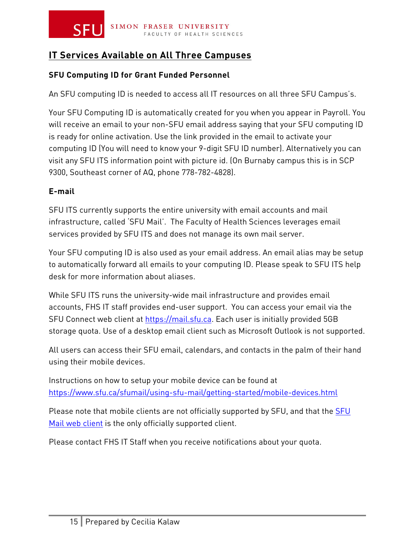### **IT Services Available on All Three Campuses**

### **SFU Computing ID for Grant Funded Personnel**

An SFU computing ID is needed to access all IT resources on all three SFU Campus's.

Your SFU Computing ID is automatically created for you when you appear in Payroll. You will receive an email to your non-SFU email address saying that your SFU computing ID is ready for online activation. Use the link provided in the email to activate your computing ID (You will need to know your 9-digit SFU ID number). Alternatively you can visit any SFU ITS information point with picture id. (On Burnaby campus this is in SCP 9300, Southeast corner of AQ, phone 778-782-4828).

### **E-mail**

SFU ITS currently supports the entire university with email accounts and mail infrastructure, called 'SFU Mail'. The Faculty of Health Sciences leverages email services provided by SFU ITS and does not manage its own mail server.

Your SFU computing ID is also used as your email address. An email alias may be setup to automatically forward all emails to your computing ID. Please speak to SFU ITS help desk for more information about aliases.

While SFU ITS runs the university-wide mail infrastructure and provides email accounts, FHS IT staff provides end-user support. You can access your email via the SFU Connect web client at [https://mail.sfu.ca.](https://mail.sfu.ca/) Each user is initially provided 5GB storage quota. Use of a desktop email client such as Microsoft Outlook is not supported.

All users can access their SFU email, calendars, and contacts in the palm of their hand using their mobile devices.

Instructions on how to setup your mobile device can be found at <https://www.sfu.ca/sfumail/using-sfu-mail/getting-started/mobile-devices.html>

Please note that mobile clients are not officially supported by SFU, and that the [SFU](https://www.sfu.ca/sfumail/using-sfu-mail/getting-started.html)  Mail [web client](https://www.sfu.ca/sfumail/using-sfu-mail/getting-started.html) is the only officially supported client.

Please contact FHS IT Staff when you receive notifications about your quota.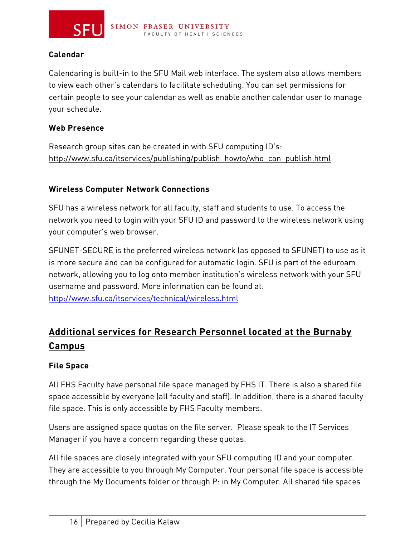

#### **Calendar**

Calendaring is built-in to the SFU Mail web interface. The system also allows members to view each other's calendars to facilitate scheduling. You can set permissions for certain people to see your calendar as well as enable another calendar user to manage your schedule.

#### **Web Presence**

Research group sites can be created in with SFU computing ID's: [http://www.sfu.ca/itservices/publishing/publish\\_howto/who\\_can\\_publish.html](http://www.sfu.ca/itservices/publishing/publish_howto/who_can_publish.html)

#### **Wireless Computer Network Connections**

SFU has a wireless network for all faculty, staff and students to use. To access the network you need to login with your SFU ID and password to the wireless network using your computer's web browser.

SFUNET-SECURE is the preferred wireless network (as opposed to SFUNET) to use as it is more secure and can be configured for automatic login. SFU is part of the eduroam network, allowing you to log onto member institution's wireless network with your SFU username and password. More information can be found at: <http://www.sfu.ca/itservices/technical/wireless.html>

### **Additional services for Research Personnel located at the Burnaby Campus**

#### **File Space**

All FHS Faculty have personal file space managed by FHS IT. There is also a shared file space accessible by everyone (all faculty and staff). In addition, there is a shared faculty file space. This is only accessible by FHS Faculty members.

Users are assigned space quotas on the file server. Please speak to the IT Services Manager if you have a concern regarding these quotas.

All file spaces are closely integrated with your SFU computing ID and your computer. They are accessible to you through My Computer. Your personal file space is accessible through the My Documents folder or through P: in My Computer. All shared file spaces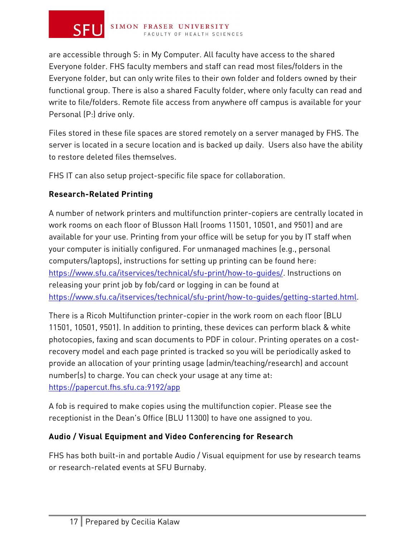

are accessible through S: in My Computer. All faculty have access to the shared Everyone folder. FHS faculty members and staff can read most files/folders in the Everyone folder, but can only write files to their own folder and folders owned by their functional group. There is also a shared Faculty folder, where only faculty can read and write to file/folders. Remote file access from anywhere off campus is available for your Personal (P:) drive only.

Files stored in these file spaces are stored remotely on a server managed by FHS. The server is located in a secure location and is backed up daily. Users also have the ability to restore deleted files themselves.

FHS IT can also setup project-specific file space for collaboration.

### **Research-Related Printing**

A number of network printers and multifunction printer-copiers are centrally located in work rooms on each floor of Blusson Hall (rooms 11501, 10501, and 9501) and are available for your use. Printing from your office will be setup for you by IT staff when your computer is initially configured. For unmanaged machines (e.g., personal computers/laptops), instructions for setting up printing can be found here: [https://www.sfu.ca/itservices/technical/sfu-print/how-to-guides/.](https://www.sfu.ca/itservices/technical/sfu-print/how-to-guides/) Instructions on releasing your print job by fob/card or logging in can be found at [https://www.sfu.ca/itservices/technical/sfu-print/how-to-guides/getting-started.html.](https://www.sfu.ca/itservices/technical/sfu-print/how-to-guides/getting-started.html)

There is a Ricoh Multifunction printer-copier in the work room on each floor (BLU 11501, 10501, 9501). In addition to printing, these devices can perform black & white photocopies, faxing and scan documents to PDF in colour. Printing operates on a costrecovery model and each page printed is tracked so you will be periodically asked to provide an allocation of your printing usage (admin/teaching/research) and account number(s) to charge. You can check your usage at any time at: <https://papercut.fhs.sfu.ca:9192/app>

A fob is required to make copies using the multifunction copier. Please see the receptionist in the Dean's Office (BLU 11300) to have one assigned to you.

### **Audio / Visual Equipment and Video Conferencing for Research**

FHS has both built-in and portable Audio / Visual equipment for use by research teams or research-related events at SFU Burnaby.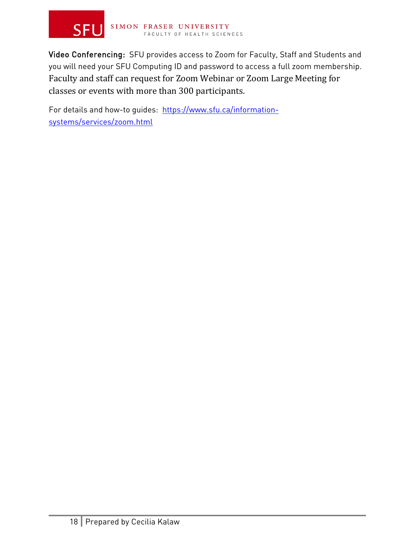

Video Conferencing: SFU provides access to Zoom for Faculty, Staff and Students and you will need your SFU Computing ID and password to access a full zoom membership. Faculty and staff can request for Zoom Webinar or Zoom Large Meeting for classes or events with more than 300 participants.

For details and how-to guides: [https://www.sfu.ca/information](https://www.sfu.ca/information-systems/services/zoom.html)[systems/services/zoom.html](https://www.sfu.ca/information-systems/services/zoom.html)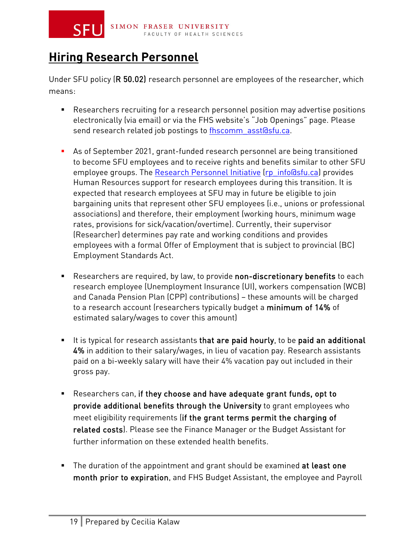### **Hiring Research Personnel**

Under SFU policy (R 50.02) research personnel are employees of the researcher, which means:

- Researchers recruiting for a research personnel position may advertise positions electronically (via email) or via the FHS website's "Job Openings" page. Please send research related job postings to [fhscomm\\_asst@sfu.ca.](mailto:fhscomm_asst@sfu.ca)
- As of September 2021, grant-funded research personnel are being transitioned to become SFU employees and to receive rights and benefits similar to other SFU employee groups. The [Research Personnel Initiative](https://www.sfu.ca/human-resources/research-employees/RPI-project.html) [\(rp\\_info@sfu.ca\)](mailto:rp_info@sfu.ca) provides Human Resources support for research employees during this transition. It is expected that research employees at SFU may in future be eligible to join bargaining units that represent other SFU employees (i.e., unions or professional associations) and therefore, their employment (working hours, minimum wage rates, provisions for sick/vacation/overtime). Currently, their supervisor (Researcher) determines pay rate and working conditions and provides employees with a formal Offer of Employment that is subject to provincial (BC) Employment Standards Act.
- **EXP** Researchers are required, by law, to provide non-discretionary benefits to each research employee (Unemployment Insurance (UI), workers compensation (WCB) and Canada Pension Plan (CPP) contributions) – these amounts will be charged to a research account (researchers typically budget a minimum of 14% of estimated salary/wages to cover this amount)
- It is typical for research assistants that are paid hourly, to be paid an additional 4% in addition to their salary/wages, in lieu of vacation pay. Research assistants paid on a bi-weekly salary will have their 4% vacation pay out included in their gross pay.
- Researchers can, if they choose and have adequate grant funds, opt to provide additional benefits through the University to grant employees who meet eligibility requirements (if the grant terms permit the charging of related costs). Please see the Finance Manager or the Budget Assistant for further information on these extended health benefits.
- The duration of the appointment and grant should be examined at least one month prior to expiration, and FHS Budget Assistant, the employee and Payroll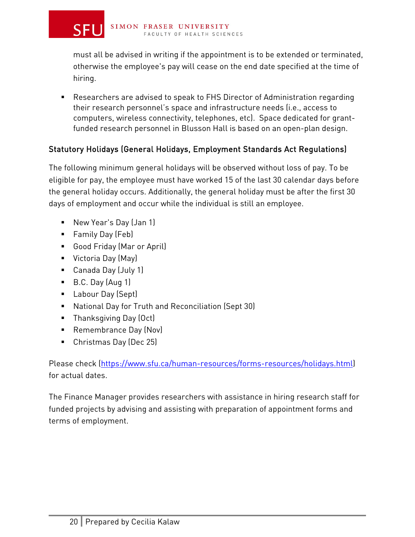

must all be advised in writing if the appointment is to be extended or terminated, otherwise the employee's pay will cease on the end date specified at the time of hiring.

 Researchers are advised to speak to FHS Director of Administration regarding their research personnel's space and infrastructure needs (i.e., access to computers, wireless connectivity, telephones, etc). Space dedicated for grantfunded research personnel in Blusson Hall is based on an open-plan design.

### Statutory Holidays (General Holidays, Employment Standards Act Regulations)

The following minimum general holidays will be observed without loss of pay. To be eligible for pay, the employee must have worked 15 of the last 30 calendar days before the general holiday occurs. Additionally, the general holiday must be after the first 30 days of employment and occur while the individual is still an employee.

- New Year's Day (Jan 1)
- Family Day (Feb)
- Good Friday (Mar or April)
- **Victoria Day (May)**
- Canada Day (July 1)
- B.C. Day (Aug 1)
- Labour Day (Sept)
- National Day for Truth and Reconciliation (Sept 30)
- **Thanksgiving Day (Oct)**
- **Remembrance Day (Nov)**
- Christmas Day (Dec 25)

Please check [\(https://www.sfu.ca/human-resources/forms-resources/holidays.html\)](https://www.sfu.ca/human-resources/forms-resources/holidays.html) for actual dates.

The Finance Manager provides researchers with assistance in hiring research staff for funded projects by advising and assisting with preparation of appointment forms and terms of employment.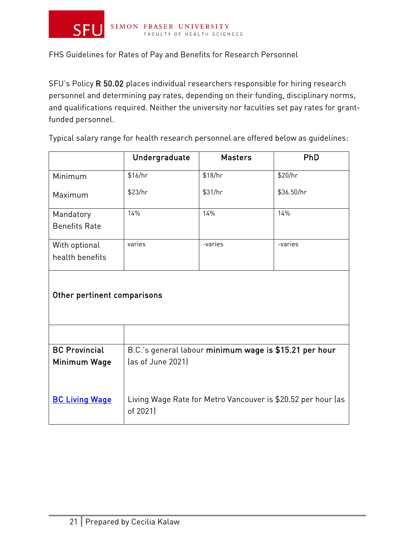

FHS Guidelines for Rates of Pay and Benefits for Research Personnel

SFU's Policy R 50.02 places individual researchers responsible for hiring research personnel and determining pay rates, depending on their funding, disciplinary norms, and qualifications required. Neither the university nor faculties set pay rates for grantfunded personnel.

Typical salary range for health research personnel are offered below as guidelines:

|                             | Undergraduate                                                            | <b>Masters</b> | PhD        |  |
|-----------------------------|--------------------------------------------------------------------------|----------------|------------|--|
| Minimum                     | \$16/hr                                                                  | \$18/hr        | \$20/hr    |  |
| Maximum                     | \$23/hr                                                                  | \$31/hr        | \$36.50/hr |  |
| Mandatory                   | 14%                                                                      | 14%            | 14%        |  |
| <b>Benefits Rate</b>        |                                                                          |                |            |  |
| With optional               | varies                                                                   | -varies        | -varies    |  |
| health benefits             |                                                                          |                |            |  |
| Other pertinent comparisons |                                                                          |                |            |  |
|                             |                                                                          |                |            |  |
| <b>BC Provincial</b>        | B.C.'s general labour minimum wage is \$15.21 per hour                   |                |            |  |
| Minimum Wage                | (as of June 2021)                                                        |                |            |  |
|                             |                                                                          |                |            |  |
| <b>BC Living Wage</b>       | Living Wage Rate for Metro Vancouver is \$20.52 per hour (as<br>of 2021) |                |            |  |